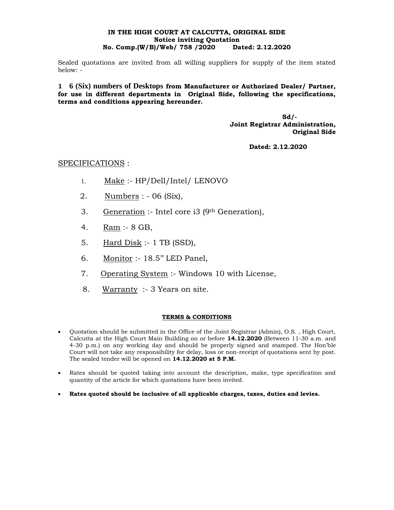## **IN THE HIGH COURT AT CALCUTTA, ORIGINAL SIDE Notice inviting Quotation No. Comp.(W/B)/Web/ 758 /2020 Dated: 2.12.2020**

Sealed quotations are invited from all willing suppliers for supply of the item stated below: -

**1 6 (Six) numbers of Desktops from Manufacturer or Authorized Dealer/ Partner, for use in different departments in Original Side, following the specifications, terms and conditions appearing hereunder.**

> **Sd/- Joint Registrar Administration, Original Side**

> > **Dated: 2.12.2020**

## SPECIFICATIONS :

- 1. Make :- HP/Dell/Intel/ LENOVO
- 2. Numbers : 06 (Six),
- 3. Generation :- Intel core i3 (9<sup>th</sup> Generation),
- 4. Ram :- 8 GB,
- 5. Hard Disk :- 1 TB (SSD),
- 6. Monitor :- 18.5'' LED Panel,
- 7. Operating System :- Windows 10 with License,
- 8. Warranty :- 3 Years on site.

## **TERMS & CONDITIONS**

- Quotation should be submitted in the Office of the Joint Registrar (Admin), O.S. , High Court, Calcutta at the High Court Main Building on or before **14.12.2020** (Between 11-30 a.m. and 4-30 p.m.) on any working day and should be properly signed and stamped. The Hon'ble Court will not take any responsibility for delay, loss or non-receipt of quotations sent by post. The sealed tender will be opened on **14.12.2020 at 5 P.M.**
- Rates should be quoted taking into account the description, make, type specification and quantity of the article for which quotations have been invited.
- **Rates quoted should be inclusive of all applicable charges, taxes, duties and levies.**